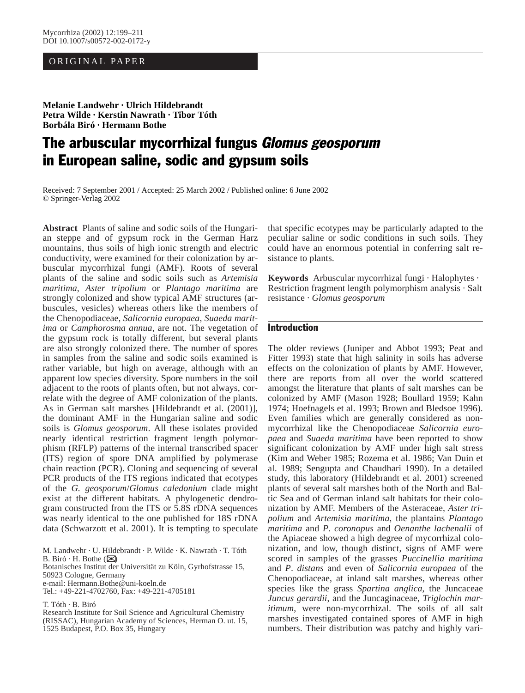# ORIGINAL PAPER

**Melanie Landwehr · Ulrich Hildebrandt Petra Wilde · Kerstin Nawrath · Tibor Tóth Borbála Biró · Hermann Bothe**

# The arbuscular mycorrhizal fungus Glomus geosporum in European saline, sodic and gypsum soils

Received: 7 September 2001 / Accepted: 25 March 2002 / Published online: 6 June 2002 © Springer-Verlag 2002

**Abstract** Plants of saline and sodic soils of the Hungarian steppe and of gypsum rock in the German Harz mountains, thus soils of high ionic strength and electric conductivity, were examined for their colonization by arbuscular mycorrhizal fungi (AMF). Roots of several plants of the saline and sodic soils such as *Artemisia maritima*, *Aster tripolium* or *Plantago maritima* are strongly colonized and show typical AMF structures (arbuscules, vesicles) whereas others like the members of the Chenopodiaceae, *Salicornia europaea*, *Suaeda maritima* or *Camphorosma annua*, are not. The vegetation of the gypsum rock is totally different, but several plants are also strongly colonized there. The number of spores in samples from the saline and sodic soils examined is rather variable, but high on average, although with an apparent low species diversity. Spore numbers in the soil adjacent to the roots of plants often, but not always, correlate with the degree of AMF colonization of the plants. As in German salt marshes [Hildebrandt et al. (2001)], the dominant AMF in the Hungarian saline and sodic soils is *Glomus geosporum*. All these isolates provided nearly identical restriction fragment length polymorphism (RFLP) patterns of the internal transcribed spacer (ITS) region of spore DNA amplified by polymerase chain reaction (PCR). Cloning and sequencing of several PCR products of the ITS regions indicated that ecotypes of the *G. geosporum*/*Glomus caledonium* clade might exist at the different habitats. A phylogenetic dendrogram constructed from the ITS or 5.8S rDNA sequences was nearly identical to the one published for 18S rDNA data (Schwarzott et al. 2001). It is tempting to speculate

M. Landwehr · U. Hildebrandt · P. Wilde · K. Nawrath · T. Tóth B. Biró  $\cdot$  H. Bothe ( $\otimes$ )

Botanisches Institut der Universität zu Köln, Gyrhofstrasse 15, 50923 Cologne, Germany

e-mail: Hermann.Bothe@uni-koeln.de

Tel.: +49-221-4702760, Fax: +49-221-4705181

T. Tóth · B. Biró

Research Institute for Soil Science and Agricultural Chemistry (RISSAC), Hungarian Academy of Sciences, Herman O. ut. 15, 1525 Budapest, P.O. Box 35, Hungary

that specific ecotypes may be particularly adapted to the peculiar saline or sodic conditions in such soils. They could have an enormous potential in conferring salt resistance to plants.

**Keywords** Arbuscular mycorrhizal fungi · Halophytes · Restriction fragment length polymorphism analysis · Salt resistance · *Glomus geosporum*

## **Introduction**

The older reviews (Juniper and Abbot 1993; Peat and Fitter 1993) state that high salinity in soils has adverse effects on the colonization of plants by AMF. However, there are reports from all over the world scattered amongst the literature that plants of salt marshes can be colonized by AMF (Mason 1928; Boullard 1959; Kahn 1974; Hoefnagels et al. 1993; Brown and Bledsoe 1996). Even families which are generally considered as nonmycorrhizal like the Chenopodiaceae *Salicornia europaea* and *Suaeda maritima* have been reported to show significant colonization by AMF under high salt stress (Kim and Weber 1985; Rozema et al. 1986; Van Duin et al. 1989; Sengupta and Chaudhari 1990). In a detailed study, this laboratory (Hildebrandt et al. 2001) screened plants of several salt marshes both of the North and Baltic Sea and of German inland salt habitats for their colonization by AMF. Members of the Asteraceae, *Aster tripolium* and *Artemisia maritima*, the plantains *Plantago maritima* and *P*. *coronopus* and *Oenanthe lachenalii* of the Apiaceae showed a high degree of mycorrhizal colonization, and low, though distinct, signs of AMF were scored in samples of the grasses *Puccinellia maritima* and *P*. *distans* and even of *Salicornia europaea* of the Chenopodiaceae, at inland salt marshes, whereas other species like the grass *Spartina anglica*, the Juncaceae *Juncus gerardii*, and the Juncaginaceae, *Triglochin maritimum*, were non-mycorrhizal. The soils of all salt marshes investigated contained spores of AMF in high numbers. Their distribution was patchy and highly vari-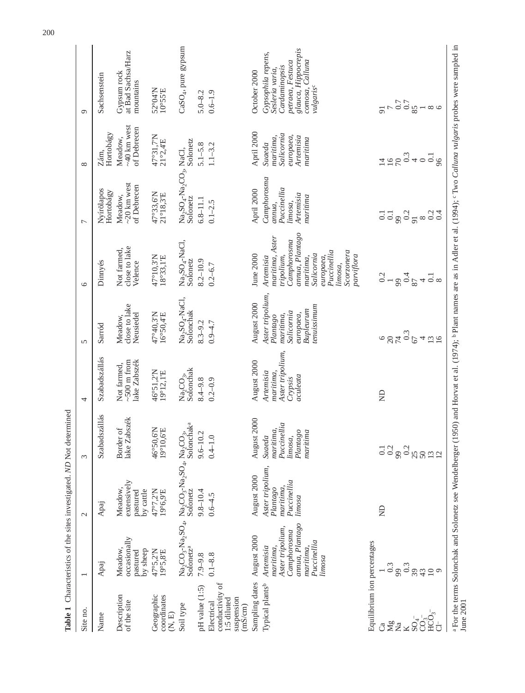| Site no.                                                              |                                                                                                                    | $\mathcal{L}$                                                                                                                                                                        | 3                                                                     | 4                                                                 | 5                                                                                               | $\circ$                                                                                                                                                                   | 7                                                                                                | $\infty$                                                                            | $\circ$                                                                                                                                                                                                   |
|-----------------------------------------------------------------------|--------------------------------------------------------------------------------------------------------------------|--------------------------------------------------------------------------------------------------------------------------------------------------------------------------------------|-----------------------------------------------------------------------|-------------------------------------------------------------------|-------------------------------------------------------------------------------------------------|---------------------------------------------------------------------------------------------------------------------------------------------------------------------------|--------------------------------------------------------------------------------------------------|-------------------------------------------------------------------------------------|-----------------------------------------------------------------------------------------------------------------------------------------------------------------------------------------------------------|
| Name                                                                  | Apaj                                                                                                               | Apaj                                                                                                                                                                                 | Szabadszállás                                                         | Szabadszállás                                                     | Sarród                                                                                          | Dinnyés                                                                                                                                                                   | Nyírölapos<br>Hortobágy                                                                          | Hortobágy<br>Zám,                                                                   | Sachsenstein                                                                                                                                                                                              |
| Description<br>of the site                                            | occasionally<br>Meadow,<br>by sheep<br>pastured                                                                    | extensively<br>Meadow,<br>by cattle<br>pastured                                                                                                                                      | lake Zabszék<br>Border of                                             | $\sim 500$ m from<br>lake Zabszék<br>Not farmed,                  | close to lake<br>Neusiedel<br>Meadow,                                                           | close to lake<br>Not farmed,<br>Velence                                                                                                                                   | $-20$ km west<br>of Debrecen<br>Meadow,                                                          | $\sim40$ km west<br>of Debrecen<br>Meadow,                                          | at Bad Sachsa/Harz<br>Gypsum rock<br>mountains                                                                                                                                                            |
| Geographic<br>coordinates<br>(N, E)                                   | $47°5,2'N$<br>19°5,8'E                                                                                             | 47°7,2°N<br>19°6,9'E                                                                                                                                                                 | 46°50,6'N<br>19°10,6'E                                                | 46°51,2N<br>19°12,1E                                              | $47^{\circ}40.3^{\circ}$ N<br>16°50,4'E                                                         | 47°10,3'N<br>18°33,1 <sup>E</sup>                                                                                                                                         | $47°33,6N$<br>21°18,3'E                                                                          | $47°31,7'N$<br>21°2,4'E                                                             | 52°04'N<br>10°55'E                                                                                                                                                                                        |
| Soil type                                                             |                                                                                                                    | $Na_2CO_3$ -Na <sub>2</sub> SO <sub>4</sub> , Na <sub>2</sub> CO <sub>3</sub> -Na <sub>2</sub> SO <sub>4</sub> , Na <sub>2</sub> CO <sub>3</sub> ,<br>Solonetz <sup>a</sup> Solonetz |                                                                       | Na <sub>2</sub> CO <sub>3</sub> ,<br>Solonchak                    | Na <sub>2</sub> SO <sub>4</sub> -NaCl,<br>Solonchak                                             | $\rm Na_2SO_4\text{-}NaCl,$<br>Solonetz                                                                                                                                   | Na <sub>2</sub> SO <sub>4</sub> -Na <sub>2</sub> CO <sub>3</sub> , NaCl,<br>Solonetz<br>Solonetz |                                                                                     | CaSO <sub>4</sub> , pure gypsum                                                                                                                                                                           |
| pH value (1:5)                                                        | $7.9 - 9.8$                                                                                                        | $9.8 - 10.4$                                                                                                                                                                         | $9.6 - 10.2$                                                          | $8.4 - 9.8$                                                       | $8.3 - 9.2$                                                                                     | $8.2 - 10.9$                                                                                                                                                              | $6.8 - 11.1$                                                                                     | $5.1 - 5.8$                                                                         | $5.0 - 8.2$                                                                                                                                                                                               |
| conductivity of<br>suspension<br>1:5 diluted<br>Electrical<br>(mS/cm) | $0.1 - 8.8$                                                                                                        | $0.6 - 4.5$                                                                                                                                                                          | $0.4 - 1.0$                                                           | $0.2 - 0.9$                                                       | $0.9 - 4.7$                                                                                     | $0.2 - 6.7$                                                                                                                                                               | $0.1 - 2.5$                                                                                      | $1.1 - 3.2$                                                                         | $0.6 - 1.9$                                                                                                                                                                                               |
| Sampling dates                                                        | August 2000                                                                                                        | August 2000                                                                                                                                                                          | August 2000                                                           | August 2000                                                       | August 2000                                                                                     | June 2000                                                                                                                                                                 | April 2000                                                                                       | April 2000                                                                          | October 2000                                                                                                                                                                                              |
| Typical plants <sup>b</sup>                                           | annua, Plantago<br>Aster tripolium,<br>Camphorosma<br>Puccinellia<br>naritima,<br>maritima,<br>Artemisia<br>limosa | Aster tripolium,<br>Puccinellia<br>maritima,<br>Plantago<br>limosa                                                                                                                   | Puccinellia<br>maritima,<br>Plantago<br>maritima<br>limosa,<br>Suaeda | Aster tripolium,<br>Artemisia<br>maritima,<br>aculeata<br>Crypsis | Aster tripolium,<br>tenuissimum<br>Bupleurum<br>Salicomia<br>europaea,<br>maritima,<br>Plantago | annua, Plantago<br>naritima, Aster<br>Camphorosma<br>Puccinellia<br>Scorzonera<br>Salicomia<br>tripolium,<br>parviflora<br>europaea,<br>Artemisia<br>maritima,<br>limosa, | Camphorosma<br>Puccinellia<br>Artemisia<br>maritima<br>limosa,<br>annua,                         | Salicornia<br>europaea,<br>maritima,<br>Artemisia<br>maritima<br>Suaeda             | glauca, Hippocrepis<br>Gypsophila repens,<br>petraea, Festuca<br>comosa, Calluna<br>Cardaninopsis<br>Sesleria varia,<br>vulgarisc                                                                         |
| Equilibrium ion percentages                                           |                                                                                                                    |                                                                                                                                                                                      |                                                                       |                                                                   |                                                                                                 |                                                                                                                                                                           |                                                                                                  |                                                                                     |                                                                                                                                                                                                           |
| Mg<br>්                                                               | 0.3                                                                                                                | g                                                                                                                                                                                    | $\frac{1}{0.2}$                                                       | $\Xi$                                                             | $\circ$                                                                                         | 0.2                                                                                                                                                                       | $\frac{1}{100}$                                                                                  | $\frac{1}{4}$ $\frac{1}{6}$ $\frac{6}{3}$ $\frac{4}{3}$ $\frac{6}{3}$ $\frac{8}{3}$ | $\frac{2000}{700}$                                                                                                                                                                                        |
| <b>Z</b><br>К                                                         | 0.3<br>99                                                                                                          |                                                                                                                                                                                      | $99 - 2$                                                              |                                                                   | 240.3                                                                                           | 994                                                                                                                                                                       |                                                                                                  |                                                                                     |                                                                                                                                                                                                           |
| $\text{SO}_4^-$                                                       | 39                                                                                                                 |                                                                                                                                                                                      |                                                                       |                                                                   |                                                                                                 | 87                                                                                                                                                                        | $\overline{9}$                                                                                   |                                                                                     |                                                                                                                                                                                                           |
| HCO <sub>3</sub><br>Ë<br>$\frac{1}{\mathbf{C}}$                       | $\overline{10}$<br>43<br>$\circ$                                                                                   |                                                                                                                                                                                      | 25021                                                                 |                                                                   | 40/16                                                                                           | $\frac{1}{\infty}$<br>$\overline{\mathcal{A}}$                                                                                                                            | 0.2<br>0.4<br>$\infty$                                                                           |                                                                                     | $\infty$                                                                                                                                                                                                  |
|                                                                       |                                                                                                                    |                                                                                                                                                                                      |                                                                       |                                                                   |                                                                                                 |                                                                                                                                                                           |                                                                                                  |                                                                                     |                                                                                                                                                                                                           |
| June 2001                                                             |                                                                                                                    |                                                                                                                                                                                      |                                                                       |                                                                   |                                                                                                 |                                                                                                                                                                           |                                                                                                  |                                                                                     | a For the terms Solonchak and Solonetz see Wendelberger (1950) and Horvat et al. (1974); <sup>b</sup> Plant names are as in Adler et al. (1994); <sup>c</sup> Two Calluna vulgaris probes were sampled in |

200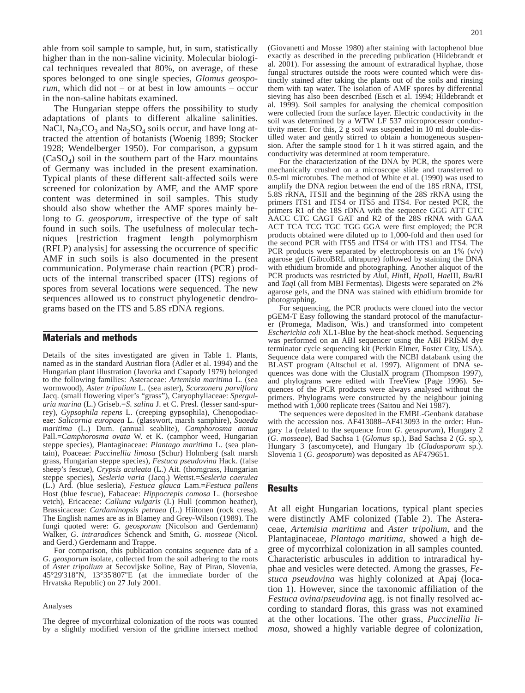able from soil sample to sample, but, in sum, statistically higher than in the non-saline vicinity. Molecular biological techniques revealed that 80%, on average, of these spores belonged to one single species, *Glomus geosporum*, which did not – or at best in low amounts – occur in the non-saline habitats examined.

The Hungarian steppe offers the possibility to study adaptations of plants to different alkaline salinities. NaCl,  $Na_2CO_3$  and  $Na_2SO_4$  soils occur, and have long attracted the attention of botanists (Woenig 1899; Stocker 1928; Wendelberger 1950). For comparison, a gypsum  $(CaSO<sub>4</sub>)$  soil in the southern part of the Harz mountains of Germany was included in the present examination. Typical plants of these different salt-affected soils were screened for colonization by AMF, and the AMF spore content was determined in soil samples. This study should also show whether the AMF spores mainly belong to *G*. *geosporum*, irrespective of the type of salt found in such soils. The usefulness of molecular techniques [restriction fragment length polymorphism (RFLP) analysis] for assessing the occurrence of specific AMF in such soils is also documented in the present communication. Polymerase chain reaction (PCR) products of the internal transcribed spacer (ITS) regions of spores from several locations were sequenced. The new sequences allowed us to construct phylogenetic dendrograms based on the ITS and 5.8S rDNA regions.

## Materials and methods

Details of the sites investigated are given in Table 1. Plants, named as in the standard Austrian flora (Adler et al. 1994) and the Hungarian plant illustration (Javorka and Csapody 1979) belonged to the following families: Asteraceae: *Artemisia maritima* L. (sea wormwood), *Aster tripolium* L. (sea aster), *Scorzonera parviflora* Jacq. (small flowering viper's "grass"), Caryophyllaceae: *Spergularia marina* (L.) Griseb.=*S*. *salina* J. et C. Presl. (lesser sand-spurrey), *Gypsophila repens* L. (creeping gypsophila), Chenopodiaceae: *Salicornia europaea* L. (glasswort, marsh samphire), *Suaeda maritima* (L.) Dum. (annual seablite), *Camphorosma annua* Pall.=*Camphorosma ovata* W. et K. (camphor weed, Hungarian steppe species), Plantaginaceae: *Plantago maritima* L. (sea plantain), Poaceae: *Puccinellia limosa* (Schur) Holmberg (salt marsh grass, Hungarian steppe species), *Festuca pseudovina* Hack. (false sheep's fescue), *Crypsis aculeata* (L.) Ait. (thorngrass, Hungarian steppe species), *Sesleria varia* (Jacq.) Wettst.=*Sesleria caerulea* (L.) Ard. (blue sesleria), *Festuca glauca* Lam.=*Festuca pallens* Host (blue fescue), Fabaceae: *Hippocrepis comosa* L. (horseshoe vetch), Ericaceae: *Calluna vulgaris* (L) Hull (common heather), Brassicaceae: *Cardaminopsis petraea* (L.) Hiitonen (rock cress). The English names are as in Blamey and Grey-Wilson (1989). The fungi quoted were: *G*. *geosporum* (Nicolson and Gerdemann) Walker, *G*. *intraradices* Schenck and Smith, *G*. *mosseae* (Nicol. and Gerd.) Gerdemann and Trappe.

For comparison, this publication contains sequence data of a *G*. *geosporum* isolate, collected from the soil adhering to the roots of *Aster tripolium* at Secovljske Soline, Bay of Piran, Slovenia, 45°29'318''N, 13°35'807''E (at the immediate border of the Hrvatska Republic) on 27 July 2001.

#### Analyses

The degree of mycorrhizal colonization of the roots was counted by a slightly modified version of the gridline intersect method (Giovanetti and Mosse 1980) after staining with lactophenol blue exactly as described in the preceding publication (Hildebrandt et al. 2001). For assessing the amount of extraradical hyphae, those fungal structures outside the roots were counted which were distinctly stained after taking the plants out of the soils and rinsing them with tap water. The isolation of AMF spores by differential sieving has also been described (Esch et al. 1994; Hildebrandt et al. 1999). Soil samples for analysing the chemical composition were collected from the surface layer. Electric conductivity in the soil was determined by a WTW LF 537 microprocessor conductivity meter. For this, 2 g soil was suspended in 10 ml double-distilled water and gently stirred to obtain a homogeneous suspension. After the sample stood for 1 h it was stirred again, and the conductivity was determined at room temperature.

For the characterization of the DNA by PCR, the spores were mechanically crushed on a microscope slide and transferred to 0.5-ml microtubes. The method of White et al. (1990) was used to amplify the DNA region between the end of the 18S rRNA, ITSI, 5.8S rRNA, ITSII and the beginning of the 28S rRNA using the primers ITS1 and ITS4 or ITS5 and ITS4. For nested PCR, the primers R1 of the 18S rDNA with the sequence GGG ATT CTC AACC CTC CAGT GAT and R2 of the 28S rRNA with GAA ACT TCA TCG TGC TGG GGA were first employed; the PCR products obtained were diluted up to 1,000-fold and then used for the second PCR with ITS5 and ITS4 or with ITS1 and ITS4. The PCR products were separated by electrophoresis on an  $1\%$  (v/v) agarose gel (GibcoBRL ultrapure) followed by staining the DNA with ethidium bromide and photographing. Another aliquot of the PCR products was restricted by *Alu*I, *Hin*fI, *Hpa*II, *Hae*III, *Bsu*RI and *Taq*I (all from MBI Fermentas). Digests were separated on 2% agarose gels, and the DNA was stained with ethidium bromide for photographing.

For sequencing, the PCR products were cloned into the vector pGEM-T Easy following the standard protocol of the manufacturer (Promega, Madison, Wis.) and transformed into competent *Escherichia coli* XL1-Blue by the heat-shock method. Sequencing was performed on an ABI sequencer using the ABI PRISM dye terminator cycle sequencing kit (Perkin Elmer, Foster City, USA). Sequence data were compared with the NCBI databank using the BLAST program (Altschul et al. 1997). Alignment of DNA sequences was done with the ClustalX program (Thompson 1997), and phylograms were edited with TreeView (Page 1996). Sequences of the PCR products were always analysed without the primers. Phylograms were constructed by the neighbour joining method with 1,000 replicate trees (Saitou and Nei 1987).

The sequences were deposited in the EMBL-Genbank database with the accession nos. AF413088–AF413093 in the order: Hungary 1a (related to the sequence from *G*. *geosporum*), Hungary 2 (*G*. *mosseae*), Bad Sachsa 1 (*Glomus* sp.), Bad Sachsa 2 (*G*. sp.), Hungary 3 (ascomycete), and Hungary 1b (*Cladosporum* sp.). Slovenia 1 (*G*. *geosporum*) was deposited as AF479651.

## Results

At all eight Hungarian locations, typical plant species were distinctly AMF colonized (Table 2). The Asteraceae, *Artemisia maritima* and *Aster tripolium*, and the Plantaginaceae, *Plantago maritima*, showed a high degree of mycorrhizal colonization in all samples counted. Characteristic arbuscules in addition to intraradical hyphae and vesicles were detected. Among the grasses, *Festuca pseudovina* was highly colonized at Apaj (location 1). However, since the taxonomic affiliation of the *Festuca ovina*/*pseudovina* agg. is not finally resolved according to standard floras, this grass was not examined at the other locations. The other grass, *Puccinellia limosa*, showed a highly variable degree of colonization,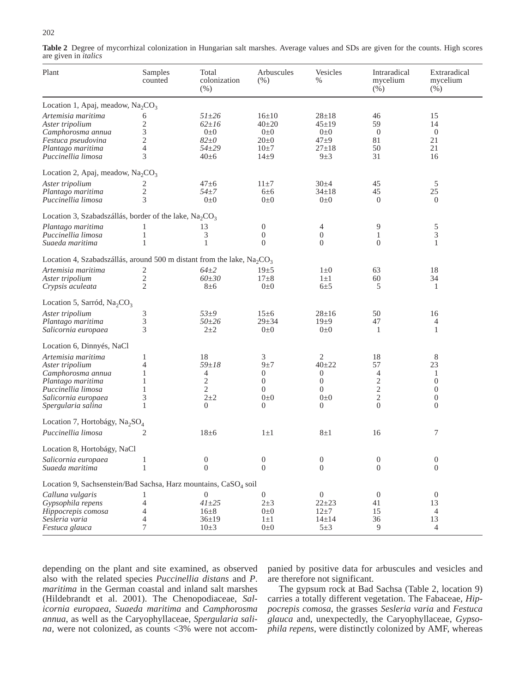**Table 2** Degree of mycorrhizal colonization in Hungarian salt marshes. Average values and SDs are given for the counts. High scores are given in *italics*

| Plant                                                                                                                                              | Samples<br>counted                                                         | Total<br>colonization<br>(% )                                                     | Arbuscules<br>(% )                                                                   | Vesicles<br>$\%$                                                                         | Intraradical<br>mycelium<br>$(\%)$                                                             | Extraradical<br>mycelium<br>$(\% )$                                                        |  |  |  |
|----------------------------------------------------------------------------------------------------------------------------------------------------|----------------------------------------------------------------------------|-----------------------------------------------------------------------------------|--------------------------------------------------------------------------------------|------------------------------------------------------------------------------------------|------------------------------------------------------------------------------------------------|--------------------------------------------------------------------------------------------|--|--|--|
| Location 1, Apaj, meadow, $Na2CO3$                                                                                                                 |                                                                            |                                                                                   |                                                                                      |                                                                                          |                                                                                                |                                                                                            |  |  |  |
| Artemisia maritima<br>Aster tripolium<br>Camphorosma annua<br>Festuca pseudovina<br>Plantago maritima<br>Puccinellia limosa                        | 6<br>$\overline{\mathbf{c}}$<br>3<br>$\overline{c}$<br>$\overline{4}$<br>3 | $51 + 26$<br>$62{\pm}16$<br>$0\pm 0$<br>$82{\pm}0$<br>$54 + 29$<br>40±6           | $16 \pm 10$<br>$40\pm 20$<br>$0\pm 0$<br>$20 \pm 0$<br>$10\pm7$<br>$14\pm9$          | $28 \pm 18$<br>$45 \pm 19$<br>$0\pm 0$<br>$47\pm9$<br>$27 \pm 18$<br>$9\pm3$             | 46<br>59<br>$\overline{0}$<br>81<br>50<br>31                                                   | 15<br>14<br>$\mathbf{0}$<br>21<br>21<br>16                                                 |  |  |  |
| Location 2, Apaj, meadow, $Na2CO3$                                                                                                                 |                                                                            |                                                                                   |                                                                                      |                                                                                          |                                                                                                |                                                                                            |  |  |  |
| Aster tripolium<br>Plantago maritima<br>Puccinellia limosa                                                                                         | 2<br>2<br>3                                                                | $47\pm 6$<br>54±7<br>$0\pm 0$                                                     | $11\pm7$<br>6±6<br>$0\pm 0$                                                          | 30±4<br>$34 \pm 18$<br>$0\pm 0$                                                          | 45<br>45<br>$\theta$                                                                           | 5<br>25<br>$\overline{0}$                                                                  |  |  |  |
| Location 3, Szabadszállás, border of the lake, $\text{Na}_2\text{CO}_3$                                                                            |                                                                            |                                                                                   |                                                                                      |                                                                                          |                                                                                                |                                                                                            |  |  |  |
| Plantago maritima<br>Puccinellia limosa<br>Suaeda maritima                                                                                         | 1<br>1<br>1                                                                | 13<br>3<br>1                                                                      | $\mathbf{0}$<br>$\overline{0}$<br>$\theta$                                           | 4<br>$\boldsymbol{0}$<br>$\overline{0}$                                                  | 9<br>1<br>$\overline{0}$                                                                       | 5<br>3<br>$\mathbf{1}$                                                                     |  |  |  |
| Location 4, Szabadszállás, around 500 m distant from the lake, $\text{Na}_2\text{CO}_3$                                                            |                                                                            |                                                                                   |                                                                                      |                                                                                          |                                                                                                |                                                                                            |  |  |  |
| Artemisia maritima<br>Aster tripolium<br>Crypsis aculeata                                                                                          | 2<br>2<br>$\overline{2}$                                                   | $64{\pm}2$<br>$60+30$<br>$8\pm 6$                                                 | $19+5$<br>$17\pm8$<br>$0\pm 0$                                                       | $1\pm 0$<br>$1\pm1$<br>$6\pm 5$                                                          | 63<br>60<br>5                                                                                  | 18<br>34<br>1                                                                              |  |  |  |
| Location 5, Sarród, $Na2CO3$                                                                                                                       |                                                                            |                                                                                   |                                                                                      |                                                                                          |                                                                                                |                                                                                            |  |  |  |
| Aster tripolium<br>Plantago maritima<br>Salicornia europaea                                                                                        | 3<br>3<br>3                                                                | $53\pm9$<br>$50+26$<br>$2\pm 2$                                                   | $15\pm 6$<br>$29 \pm 34$<br>$0\pm 0$                                                 | $28 \pm 16$<br>$19\pm9$<br>$0\pm 0$                                                      | 50<br>47<br>1                                                                                  | 16<br>4<br>1                                                                               |  |  |  |
| Location 6, Dinnyés, NaCl                                                                                                                          |                                                                            |                                                                                   |                                                                                      |                                                                                          |                                                                                                |                                                                                            |  |  |  |
| Artemisia maritima<br>Aster tripolium<br>Camphorosma annua<br>Plantago maritima<br>Puccinellia limosa<br>Salicornia europaea<br>Spergularia salina | 1<br>4<br>1<br>1<br>1<br>3<br>1                                            | 18<br>$59 \pm 18$<br>4<br>$\overline{2}$<br>$\overline{2}$<br>$2 + 2$<br>$\Omega$ | 3<br>$9\pm7$<br>$\overline{0}$<br>$\overline{0}$<br>$\Omega$<br>$0\pm 0$<br>$\Omega$ | 2<br>$40 + 22$<br>$\mathbf{0}$<br>$\overline{0}$<br>$\mathbf{0}$<br>$0\pm 0$<br>$\Omega$ | 18<br>57<br>$\overline{4}$<br>$\mathfrak{2}$<br>$\sqrt{2}$<br>$\mathfrak{2}$<br>$\overline{0}$ | 8<br>23<br>1<br>$\boldsymbol{0}$<br>$\boldsymbol{0}$<br>$\boldsymbol{0}$<br>$\overline{0}$ |  |  |  |
| Location 7, Hortobágy, Na <sub>2</sub> SO <sub>4</sub>                                                                                             |                                                                            |                                                                                   |                                                                                      |                                                                                          |                                                                                                |                                                                                            |  |  |  |
| Puccinellia limosa                                                                                                                                 | 2                                                                          | $18\pm 6$                                                                         | $1\pm1$                                                                              | $8\pm1$                                                                                  | 16                                                                                             | 7                                                                                          |  |  |  |
| Location 8, Hortobágy, NaCl                                                                                                                        |                                                                            |                                                                                   |                                                                                      |                                                                                          |                                                                                                |                                                                                            |  |  |  |
| Salicornia europaea<br>Suaeda maritima                                                                                                             | 1                                                                          | $\boldsymbol{0}$<br>$\Omega$                                                      | 0<br>$\theta$                                                                        | $\boldsymbol{0}$<br>$\overline{0}$                                                       | $\mathbf{0}$<br>$\boldsymbol{0}$                                                               | 0<br>$\boldsymbol{0}$                                                                      |  |  |  |
| Location 9, Sachsenstein/Bad Sachsa, Harz mountains, CaSO <sub>4</sub> soil                                                                        |                                                                            |                                                                                   |                                                                                      |                                                                                          |                                                                                                |                                                                                            |  |  |  |
| Calluna vulgaris<br>Gypsophila repens<br>Hippocrepis comosa<br>Sesleria varia<br>Festuca glauca                                                    | 4<br>4<br>4<br>7                                                           | $\mathbf{0}$<br>$41 + 25$<br>$16\pm8$<br>$36 \pm 19$<br>$10\pm3$                  | $\Omega$<br>$2\pm3$<br>$0\pm 0$<br>$1\pm1$<br>$0\pm 0$                               | $\mathbf{0}$<br>$22 + 23$<br>$12\pm7$<br>$14 \pm 14$<br>$5\pm3$                          | $\overline{0}$<br>41<br>15<br>36<br>9                                                          | $\mathbf{0}$<br>13<br>4<br>13<br>4                                                         |  |  |  |

depending on the plant and site examined, as observed also with the related species *Puccinellia distans* and *P*. *maritima* in the German coastal and inland salt marshes (Hildebrandt et al. 2001). The Chenopodiaceae, *Salicornia europaea*, *Suaeda maritima* and *Camphorosma annua*, as well as the Caryophyllaceae, *Spergularia salina*, were not colonized, as counts <3% were not accompanied by positive data for arbuscules and vesicles and are therefore not significant.

The gypsum rock at Bad Sachsa (Table 2, location 9) carries a totally different vegetation. The Fabaceae, *Hippocrepis comosa*, the grasses *Sesleria varia* and *Festuca glauca* and, unexpectedly, the Caryophyllaceae, *Gypsophila repens*, were distinctly colonized by AMF, whereas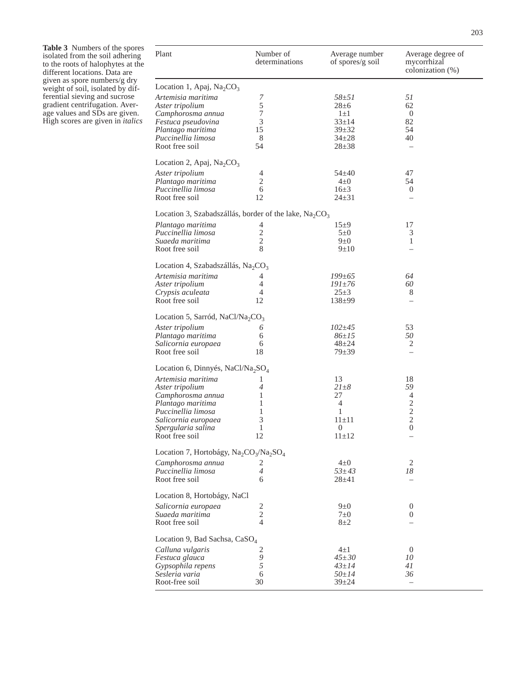**Table 3** Numbers of the spores isolated from the soil adhering to the roots of halophytes at the different locations. Data are given as spore numbers/g dry weight of soil, isolated by differential sieving and sucrose gradient centrifugation. Average values and SDs are given. High scores are given in *italics*

| Plant                                                                                   | Number of<br>determinations      | Average number<br>of spores/g soil | Average degree of<br>mycorrhizal<br>colonization (%) |  |
|-----------------------------------------------------------------------------------------|----------------------------------|------------------------------------|------------------------------------------------------|--|
| Location 1, Apaj, $Na2CO3$                                                              |                                  |                                    |                                                      |  |
| Artemisia maritima                                                                      | 7                                | $58 + 51$                          | 51                                                   |  |
| Aster tripolium                                                                         | 5                                | $28 \pm 6$                         | 62                                                   |  |
| Camphorosma annua                                                                       | 7                                | $1\pm1$                            | $\theta$                                             |  |
| Festuca pseudovina<br>Plantago maritima                                                 | 3<br>15                          | $33 \pm 14$<br>$39 \pm 32$         | 82<br>54                                             |  |
| Puccinellia limosa                                                                      | 8                                | $34 \pm 28$                        | 40                                                   |  |
| Root free soil                                                                          | 54                               | $28 \pm 38$                        |                                                      |  |
| Location 2, Apaj, $Na2CO3$                                                              |                                  |                                    |                                                      |  |
| Aster tripolium                                                                         | 4                                | 54±40                              | 47                                                   |  |
| Plantago maritima                                                                       | $\mathfrak{2}$                   | $4\pm0$                            | 54                                                   |  |
| Puccinellia limosa                                                                      | 6                                | $16+3$                             | $\boldsymbol{0}$                                     |  |
| Root free soil                                                                          | 12                               | $24 \pm 31$                        |                                                      |  |
| Location 3, Szabadszállás, border of the lake, $\text{Na}_2\text{CO}_3$                 |                                  |                                    |                                                      |  |
| Plantago maritima                                                                       | 4                                | $15\pm9$                           | 17                                                   |  |
| Puccinellia limosa<br>Suaeda maritima                                                   | $\mathfrak{2}$<br>$\mathfrak{2}$ | $5\pm0$<br>$9\pm0$                 | 3<br>1                                               |  |
| Root free soil                                                                          | 8                                | $9 \pm 10$                         |                                                      |  |
| Location 4, Szabadszállás, $Na2CO3$                                                     |                                  |                                    |                                                      |  |
| Artemisia maritima                                                                      | 4                                | $199 \pm 65$                       | 64                                                   |  |
| Aster tripolium                                                                         | 4                                | $191\pm 76$                        | 60                                                   |  |
| Crypsis aculeata                                                                        | 4                                | $25 \pm 3$                         | 8                                                    |  |
| Root free soil                                                                          | 12                               | $138 \pm 99$                       |                                                      |  |
| Location 5, Sarród, NaCl/Na <sub>2</sub> CO <sub>3</sub>                                |                                  |                                    |                                                      |  |
| Aster tripolium                                                                         | 6                                | $102 \pm 45$                       | 53                                                   |  |
| Plantago maritima                                                                       | 6                                | $86 \pm 15$                        | 50                                                   |  |
| Salicornia europaea<br>Root free soil                                                   | 6<br>18                          | $48+24$<br>$79 + 39$               | 2<br>$\qquad \qquad -$                               |  |
| Location 6, Dinnyés, NaCl/Na <sub>2</sub> SO <sub>4</sub>                               |                                  |                                    |                                                      |  |
| Artemisia maritima                                                                      | 1                                | 13                                 | 18                                                   |  |
| Aster tripolium                                                                         | $\overline{4}$                   | $21\pm8$                           | 59                                                   |  |
| Camphorosma annua                                                                       | 1                                | 27                                 | $\overline{4}$                                       |  |
| Plantago maritima                                                                       | 1                                | 4                                  | $\sqrt{2}$<br>$\overline{c}$                         |  |
| Puccinellia limosa<br>Salicornia europaea                                               | 1<br>3                           | 1<br>$11 \pm 11$                   | $\mathfrak{2}$                                       |  |
| Spergularia salina                                                                      | 1                                | $\theta$                           | 0                                                    |  |
| Root free soil                                                                          | 12                               | $11 \pm 12$                        |                                                      |  |
| Location 7, Hortobágy, Na <sub>2</sub> CO <sub>3</sub> /Na <sub>2</sub> SO <sub>4</sub> |                                  |                                    |                                                      |  |
| Camphorosma annua                                                                       | 2                                | $4\pm 0$                           | 2                                                    |  |
| Puccinellia limosa                                                                      | $\overline{4}$                   | $53 \pm 43$                        | 18                                                   |  |
| Root free soil                                                                          | 6                                | $28 + 41$                          |                                                      |  |
| Location 8, Hortobágy, NaCl                                                             |                                  |                                    |                                                      |  |
| Salicornia europaea                                                                     | 2                                | $9\pm0$                            | $\overline{0}$                                       |  |
| Suaeda maritima<br>Root free soil                                                       | 2<br>4                           | $7\pm0$<br>$8\pm2$                 | $\overline{0}$                                       |  |
| Location 9, Bad Sachsa, $CaSO4$                                                         |                                  |                                    |                                                      |  |
| Calluna vulgaris                                                                        | $\mathfrak{2}$                   | $4\pm1$                            | $\theta$                                             |  |
| Festuca glauca                                                                          | 9                                | $45 \pm 30$                        | 10                                                   |  |
| Gypsophila repens                                                                       | 5                                | $43 \pm 14$                        | 41                                                   |  |
| Sesleria varia                                                                          | 6                                | $50 \pm 14$                        | 36                                                   |  |
| Root-free soil                                                                          | 30                               | $39 + 24$                          |                                                      |  |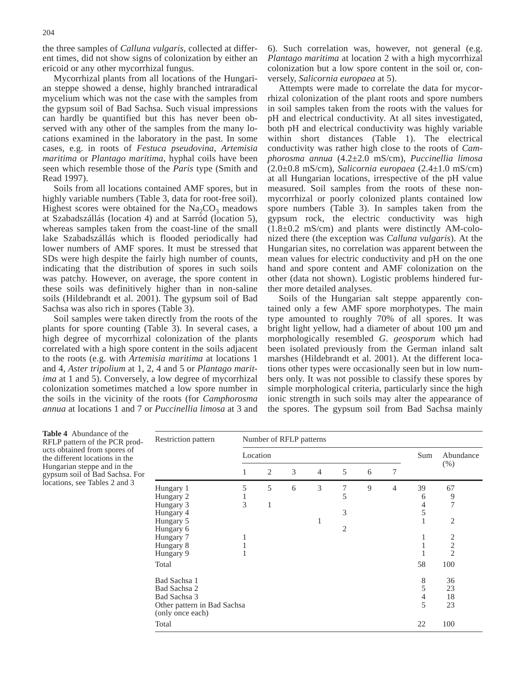the three samples of *Calluna vulgaris*, collected at different times, did not show signs of colonization by either an ericoid or any other mycorrhizal fungus.

Mycorrhizal plants from all locations of the Hungarian steppe showed a dense, highly branched intraradical mycelium which was not the case with the samples from the gypsum soil of Bad Sachsa. Such visual impressions can hardly be quantified but this has never been observed with any other of the samples from the many locations examined in the laboratory in the past. In some cases, e.g. in roots of *Festuca pseudovina*, *Artemisia maritima* or *Plantago maritima*, hyphal coils have been seen which resemble those of the *Paris* type (Smith and Read 1997).

Soils from all locations contained AMF spores, but in highly variable numbers (Table 3, data for root-free soil). Highest scores were obtained for the  $Na<sub>2</sub>CO<sub>3</sub>$  meadows at Szabadszállás (location 4) and at Sarród (location 5), whereas samples taken from the coast-line of the small lake Szabadszállás which is flooded periodically had lower numbers of AMF spores. It must be stressed that SDs were high despite the fairly high number of counts, indicating that the distribution of spores in such soils was patchy. However, on average, the spore content in these soils was definitively higher than in non-saline soils (Hildebrandt et al. 2001). The gypsum soil of Bad Sachsa was also rich in spores (Table 3).

Soil samples were taken directly from the roots of the plants for spore counting (Table 3). In several cases, a high degree of mycorrhizal colonization of the plants correlated with a high spore content in the soils adjacent to the roots (e.g. with *Artemisia maritima* at locations 1 and 4, *Aster tripolium* at 1, 2, 4 and 5 or *Plantago maritima* at 1 and 5). Conversely, a low degree of mycorrhizal colonization sometimes matched a low spore number in the soils in the vicinity of the roots (for *Camphorosma annua* at locations 1 and 7 or *Puccinellia limosa* at 3 and

6). Such correlation was, however, not general (e.g. *Plantago maritima* at location 2 with a high mycorrhizal colonization but a low spore content in the soil or, conversely, *Salicornia europaea* at 5).

Attempts were made to correlate the data for mycorrhizal colonization of the plant roots and spore numbers in soil samples taken from the roots with the values for pH and electrical conductivity. At all sites investigated, both pH and electrical conductivity was highly variable within short distances (Table 1). The electrical conductivity was rather high close to the roots of *Camphorosma annua* (4.2±2.0 mS/cm), *Puccinellia limosa* (2.0±0.8 mS/cm), *Salicornia europaea* (2.4±1.0 mS/cm) at all Hungarian locations, irrespective of the pH value measured. Soil samples from the roots of these nonmycorrhizal or poorly colonized plants contained low spore numbers (Table 3). In samples taken from the gypsum rock, the electric conductivity was high  $(1.8\pm0.2 \text{ mS/cm})$  and plants were distinctly AM-colonized there (the exception was *Calluna vulgaris*). At the Hungarian sites, no correlation was apparent between the mean values for electric conductivity and pH on the one hand and spore content and AMF colonization on the other (data not shown). Logistic problems hindered further more detailed analyses.

Soils of the Hungarian salt steppe apparently contained only a few AMF spore morphotypes. The main type amounted to roughly 70% of all spores. It was bright light yellow, had a diameter of about 100  $\mu$ m and morphologically resembled *G*. *geosporum* which had been isolated previously from the German inland salt marshes (Hildebrandt et al. 2001). At the different locations other types were occasionally seen but in low numbers only. It was not possible to classify these spores by simple morphological criteria, particularly since the high ionic strength in such soils may alter the appearance of the spores. The gypsum soil from Bad Sachsa mainly

| Restriction pattern                             | Number of RFLP patterns |          |   |                |                |   |                |                |                |
|-------------------------------------------------|-------------------------|----------|---|----------------|----------------|---|----------------|----------------|----------------|
| ١f<br>S                                         |                         | Location |   |                |                |   |                |                | Abundance      |
|                                                 | 1                       | 2        | 3 | $\overline{4}$ | 5              | 6 | 7              |                | $(\% )$        |
| Hungary 1                                       | 5                       | 5        | 6 | 3              | 7              | 9 | $\overline{4}$ | 39             | 67             |
| Hungary 2                                       |                         |          |   |                | 5              |   |                | 6              | 9              |
| Hungary 3                                       | 3                       | 1        |   |                |                |   |                | 4              | 7              |
| Hungary 4                                       |                         |          |   |                | 3              |   |                | 5              |                |
| Hungary 5                                       |                         |          |   | 1              |                |   |                | 1              | $\overline{2}$ |
| Hungary 6                                       |                         |          |   |                | $\overline{c}$ |   |                |                |                |
| Hungary 7                                       |                         |          |   |                |                |   |                | 1              |                |
| Hungary 8                                       |                         |          |   |                |                |   |                | 1              | $\frac{2}{2}$  |
| Hungary 9                                       |                         |          |   |                |                |   |                |                |                |
| Total                                           |                         |          |   |                |                |   |                | 58             | 100            |
| Bad Sachsa 1                                    |                         |          |   |                |                |   |                | 8              | 36             |
| Bad Sachsa 2                                    |                         |          |   |                |                |   |                | 5              | 23             |
| Bad Sachsa 3                                    |                         |          |   |                |                |   |                | $\overline{4}$ | 18             |
| Other pattern in Bad Sachsa<br>(only once each) |                         |          |   |                |                |   |                | 5              | 23             |
| Total                                           |                         |          |   |                |                |   |                | 22             | 100            |

**Table 4** Abundance of the RFLP pattern of the PCR pro ucts obtained from spores of the different locations in the Hungarian steppe and in the gypsum soil of Bad Sachsa. locations, see Tables 2 and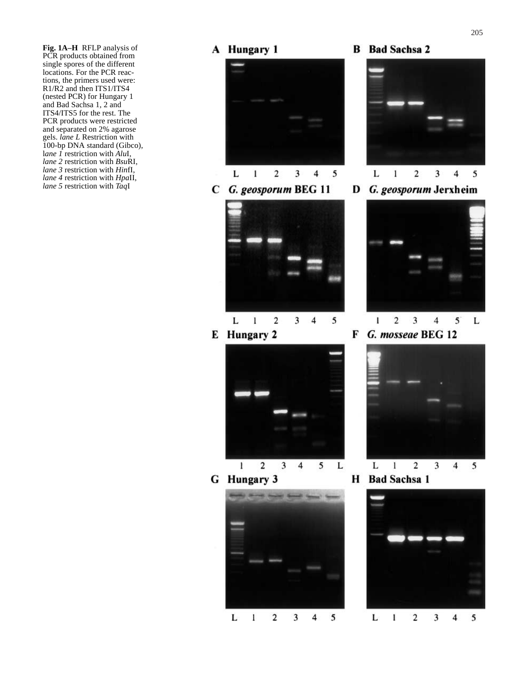**Fig. 1A–H** RFLP analysis of PCR products obtained from single spores of the different locations. For the PCR reactions, the primers used were: R1/R2 and then ITS1/ITS4 (nested PCR) for Hungary 1 and Bad Sachsa 1, 2 and ITS4/ITS5 for the rest. The PCR products were restricted and separated on 2% agarose gels. *lane L* Restriction with 100-bp DNA standard (Gibco), l*ane 1* restriction with *Alu*I, *lane 2* restriction with *Bsu*RI, *lane 3* restriction with *Hin*fI, *lane 4* restriction with *Hpa*II, *lane 5* restriction with *Taq* I



C G. geosporum BEG 11



E Hungary 2

**B** Bad Sachsa 2



- L  $\mathbf{1}$  $\overline{c}$  $\overline{\mathbf{3}}$  $\overline{4}$ 5
- G. geosporum Jerxheim D



 $\overline{2}$  $\mathbf{I}$  $\overline{3}$  $\overline{\mathbf{4}}$  $5^{\circ}$ L G. mosseae BEG 12 F







- 
- $\mathbf L$  $\bf{l}$  $\overline{c}$ 3  $\overline{4}$ 5  $H$ **Bad Sachsa 1**



L  $\mathbf{I}$  $\overline{c}$ 3 5  $\overline{\mathbf{4}}$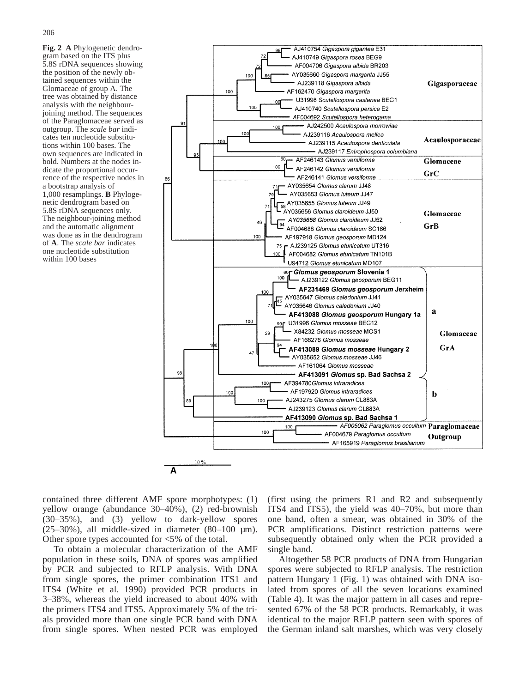**Fig. 2 A** Phylogenetic dendrogram based on the ITS plus 5.8S rDNA sequences showing the position of the newly obtained sequences within the Glomaceae of group A. The tree was obtained by distance analysis with the neighbourjoining method. The sequences of the Paraglomaceae served as outgroup. The *scale bar* indicates ten nucleotide substitutions within 100 bases. The own sequences are indicated in bold. Numbers at the nodes indicate the proportional occurrence of the respective nodes in a bootstrap analysis of 1,000 resamplings. **B** Phylogenetic dendrogram based on 5.8S rDNA sequences only. The neighbour-joining method and the automatic alignment was done as in the dendrogram of **A**. The *scale bar* indicates one nucleotide substitution within 100 bases



contained three different AMF spore morphotypes: (1) yellow orange (abundance 30–40%), (2) red-brownish (30–35%), and (3) yellow to dark-yellow spores (25–30%), all middle-sized in diameter  $(80-100 \mu m)$ . Other spore types accounted for <5% of the total.

To obtain a molecular characterization of the AMF population in these soils, DNA of spores was amplified by PCR and subjected to RFLP analysis. With DNA from single spores, the primer combination ITS1 and ITS4 (White et al. 1990) provided PCR products in 3–38%, whereas the yield increased to about 40% with the primers ITS4 and ITS5. Approximately 5% of the trials provided more than one single PCR band with DNA from single spores. When nested PCR was employed (first using the primers R1 and R2 and subsequently ITS4 and ITS5), the yield was 40–70%, but more than one band, often a smear, was obtained in 30% of the PCR amplifications. Distinct restriction patterns were subsequently obtained only when the PCR provided a single band.

Altogether 58 PCR products of DNA from Hungarian spores were subjected to RFLP analysis. The restriction pattern Hungary 1 (Fig. 1) was obtained with DNA isolated from spores of all the seven locations examined (Table 4). It was the major pattern in all cases and represented 67% of the 58 PCR products. Remarkably, it was identical to the major RFLP pattern seen with spores of the German inland salt marshes, which was very closely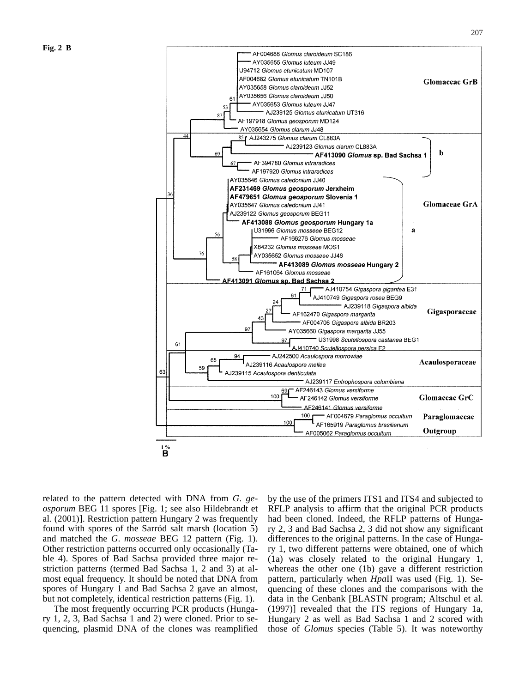

related to the pattern detected with DNA from *G*. *geosporum* BEG 11 spores [Fig. 1; see also Hildebrandt et al. (2001)]. Restriction pattern Hungary 2 was frequently found with spores of the Sarród salt marsh (location 5) and matched the *G*. *mosseae* BEG 12 pattern (Fig. 1). Other restriction patterns occurred only occasionally (Table 4). Spores of Bad Sachsa provided three major restriction patterns (termed Bad Sachsa 1, 2 and 3) at almost equal frequency. It should be noted that DNA from spores of Hungary 1 and Bad Sachsa 2 gave an almost, but not completely, identical restriction patterns (Fig. 1).

63

 $1\%$ <br>B

The most frequently occurring PCR products (Hungary 1, 2, 3, Bad Sachsa 1 and 2) were cloned. Prior to sequencing, plasmid DNA of the clones was reamplified

by the use of the primers ITS1 and ITS4 and subjected to RFLP analysis to affirm that the original PCR products had been cloned. Indeed, the RFLP patterns of Hungary 2, 3 and Bad Sachsa 2, 3 did not show any significant differences to the original patterns. In the case of Hungary 1, two different patterns were obtained, one of which (1a) was closely related to the original Hungary 1, whereas the other one (1b) gave a different restriction pattern, particularly when *Hpa*II was used (Fig. 1). Sequencing of these clones and the comparisons with the data in the Genbank [BLASTN program; Altschul et al. (1997)] revealed that the ITS regions of Hungary 1a, Hungary 2 as well as Bad Sachsa 1 and 2 scored with those of *Glomus* species (Table 5). It was noteworthy

AF165919 Paraglomus brasilianum

AF005062 Paraglomus occultum

Outgroup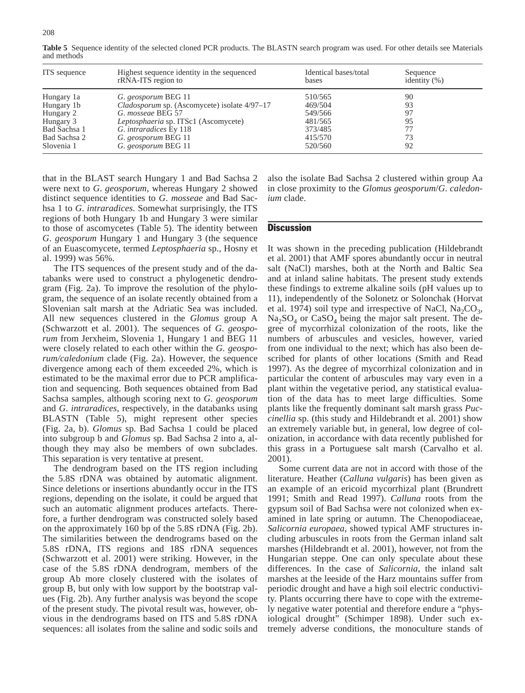| ITS sequence | Highest sequence identity in the sequenced<br>rRNA-ITS region to | Identical bases/total<br>bases | Sequence<br>identity $(\%)$ |
|--------------|------------------------------------------------------------------|--------------------------------|-----------------------------|
| Hungary 1a   | G. geosporum BEG 11                                              | 510/565                        | 90                          |
| Hungary 1b   | <i>Cladosporum</i> sp. (Ascomycete) isolate 4/97–17              | 469/504                        | 93                          |
| Hungary 2    | G. mosseae BEG 57                                                | 549/566                        | 97                          |
| Hungary 3    | Leptosphaeria sp. ITSc1 (Ascomycete)                             | 481/565                        | 95                          |
| Bad Sachsa 1 | G. intraradices Ey 118                                           | 373/485                        |                             |
| Bad Sachsa 2 | G. geosporum BEG 11                                              | 415/570                        | 73                          |
| Slovenia 1   | G. geosporum BEG 11                                              | 520/560                        | 92                          |

**Table 5** Sequence identity of the selected cloned PCR products. The BLASTN search program was used. For other details see Materials and methods

that in the BLAST search Hungary 1 and Bad Sachsa 2 were next to *G*. *geosporum*, whereas Hungary 2 showed distinct sequence identities to *G*. *mosseae* and Bad Sachsa 1 to *G*. *intraradices*. Somewhat surprisingly, the ITS regions of both Hungary 1b and Hungary 3 were similar to those of ascomycetes (Table 5). The identity between *G*. *geosporum* Hungary 1 and Hungary 3 (the sequence of an Euascomycete, termed *Leptosphaeria* sp., Hosny et al. 1999) was 56%.

The ITS sequences of the present study and of the databanks were used to construct a phylogenetic dendrogram (Fig. 2a). To improve the resolution of the phylogram, the sequence of an isolate recently obtained from a Slovenian salt marsh at the Adriatic Sea was included. All new sequences clustered in the *Glomus* group A (Schwarzott et al. 2001). The sequences of *G*. *geosporum* from Jerxheim, Slovenia 1, Hungary 1 and BEG 11 were closely related to each other within the *G*. *geosporum/caledonium* clade (Fig. 2a). However, the sequence divergence among each of them exceeded 2%, which is estimated to be the maximal error due to PCR amplification and sequencing. Both sequences obtained from Bad Sachsa samples, although scoring next to *G*. *geosporum* and *G*. *intraradices*, respectively, in the databanks using BLASTN (Table 5), might represent other species (Fig. 2a, b). *Glomus* sp. Bad Sachsa 1 could be placed into subgroup b and *Glomus* sp. Bad Sachsa 2 into a, although they may also be members of own subclades. This separation is very tentative at present.

The dendrogram based on the ITS region including the 5.8S rDNA was obtained by automatic alignment. Since deletions or insertions abundantly occur in the ITS regions, depending on the isolate, it could be argued that such an automatic alignment produces artefacts. Therefore, a further dendrogram was constructed solely based on the approximately 160 bp of the 5.8S rDNA (Fig. 2b). The similarities between the dendrograms based on the 5.8S rDNA, ITS regions and 18S rDNA sequences (Schwarzott et al. 2001) were striking. However, in the case of the 5.8S rDNA dendrogram, members of the group Ab more closely clustered with the isolates of group B, but only with low support by the bootstrap values (Fig. 2b). Any further analysis was beyond the scope of the present study. The pivotal result was, however, obvious in the dendrograms based on ITS and 5.8S rDNA sequences: all isolates from the saline and sodic soils and

also the isolate Bad Sachsa 2 clustered within group Aa in close proximity to the *Glomus geosporum*/*G*. *caledonium* clade.

## Discussion

It was shown in the preceding publication (Hildebrandt et al. 2001) that AMF spores abundantly occur in neutral salt (NaCl) marshes, both at the North and Baltic Sea and at inland saline habitats. The present study extends these findings to extreme alkaline soils (pH values up to 11), independently of the Solonetz or Solonchak (Horvat et al. 1974) soil type and irrespective of NaCl,  $Na<sub>2</sub>CO<sub>3</sub>$ ,  $Na<sub>2</sub>SO<sub>4</sub>$  or  $CaSO<sub>4</sub>$  being the major salt present. The degree of mycorrhizal colonization of the roots, like the numbers of arbuscules and vesicles, however, varied from one individual to the next; which has also been described for plants of other locations (Smith and Read 1997). As the degree of mycorrhizal colonization and in particular the content of arbuscules may vary even in a plant within the vegetative period, any statistical evaluation of the data has to meet large difficulties. Some plants like the frequently dominant salt marsh grass *Puccinellia* sp. (this study and Hildebrandt et al. 2001) show an extremely variable but, in general, low degree of colonization, in accordance with data recently published for this grass in a Portuguese salt marsh (Carvalho et al. 2001).

Some current data are not in accord with those of the literature. Heather (*Calluna vulgaris*) has been given as an example of an ericoid mycorrhizal plant (Brundrett 1991; Smith and Read 1997). *Calluna* roots from the gypsum soil of Bad Sachsa were not colonized when examined in late spring or autumn. The Chenopodiaceae, *Salicornia europaea*, showed typical AMF structures including arbuscules in roots from the German inland salt marshes (Hildebrandt et al. 2001), however, not from the Hungarian steppe. One can only speculate about these differences. In the case of *Salicornia*, the inland salt marshes at the leeside of the Harz mountains suffer from periodic drought and have a high soil electric conductivity. Plants occurring there have to cope with the extremely negative water potential and therefore endure a "physiological drought" (Schimper 1898). Under such extremely adverse conditions, the monoculture stands of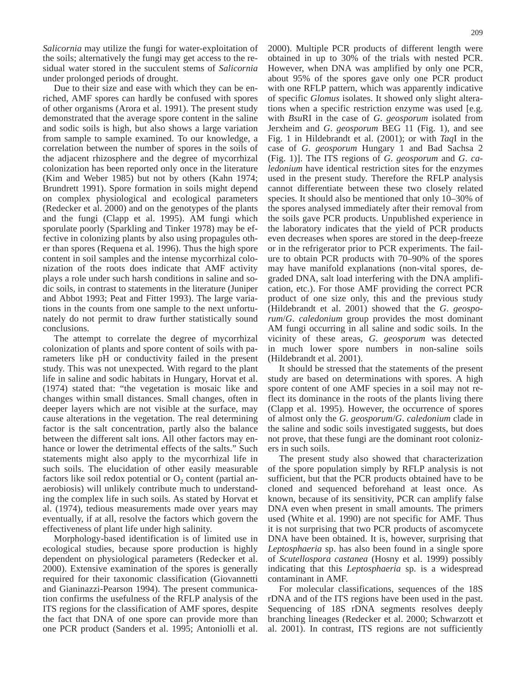*Salicornia* may utilize the fungi for water-exploitation of the soils; alternatively the fungi may get access to the residual water stored in the succulent stems of *Salicornia* under prolonged periods of drought.

Due to their size and ease with which they can be enriched, AMF spores can hardly be confused with spores of other organisms (Arora et al. 1991). The present study demonstrated that the average spore content in the saline and sodic soils is high, but also shows a large variation from sample to sample examined. To our knowledge, a correlation between the number of spores in the soils of the adjacent rhizosphere and the degree of mycorrhizal colonization has been reported only once in the literature (Kim and Weber 1985) but not by others (Kahn 1974; Brundrett 1991). Spore formation in soils might depend on complex physiological and ecological parameters (Redecker et al. 2000) and on the genotypes of the plants and the fungi (Clapp et al. 1995). AM fungi which sporulate poorly (Sparkling and Tinker 1978) may be effective in colonizing plants by also using propagules other than spores (Requena et al. 1996). Thus the high spore content in soil samples and the intense mycorrhizal colonization of the roots does indicate that AMF activity plays a role under such harsh conditions in saline and sodic soils, in contrast to statements in the literature (Juniper and Abbot 1993; Peat and Fitter 1993). The large variations in the counts from one sample to the next unfortunately do not permit to draw further statistically sound conclusions.

The attempt to correlate the degree of mycorrhizal colonization of plants and spore content of soils with parameters like pH or conductivity failed in the present study. This was not unexpected. With regard to the plant life in saline and sodic habitats in Hungary, Horvat et al. (1974) stated that: "the vegetation is mosaic like and changes within small distances. Small changes, often in deeper layers which are not visible at the surface, may cause alterations in the vegetation. The real determining factor is the salt concentration, partly also the balance between the different salt ions. All other factors may enhance or lower the detrimental effects of the salts." Such statements might also apply to the mycorrhizal life in such soils. The elucidation of other easily measurable factors like soil redox potential or  $O_2$  content (partial anaerobiosis) will unlikely contribute much to understanding the complex life in such soils. As stated by Horvat et al. (1974), tedious measurements made over years may eventually, if at all, resolve the factors which govern the effectiveness of plant life under high salinity.

Morphology-based identification is of limited use in ecological studies, because spore production is highly dependent on physiological parameters (Redecker et al. 2000). Extensive examination of the spores is generally required for their taxonomic classification (Giovannetti and Gianinazzi-Pearson 1994). The present communication confirms the usefulness of the RFLP analysis of the ITS regions for the classification of AMF spores, despite the fact that DNA of one spore can provide more than one PCR product (Sanders et al. 1995; Antoniolli et al.

2000). Multiple PCR products of different length were obtained in up to 30% of the trials with nested PCR. However, when DNA was amplified by only one PCR, about 95% of the spores gave only one PCR product with one RFLP pattern, which was apparently indicative of specific *Glomus* isolates. It showed only slight alterations when a specific restriction enzyme was used [e.g. with *Bsu*RI in the case of *G*. *geosporum* isolated from Jerxheim and *G*. *geosporum* BEG 11 (Fig. 1), and see Fig. 1 in Hildebrandt et al. (2001); or with *Taq*I in the case of *G*. *geosporum* Hungary 1 and Bad Sachsa 2 (Fig. 1)]. The ITS regions of *G*. *geosporum* and *G*. *caledonium* have identical restriction sites for the enzymes used in the present study. Therefore the RFLP analysis cannot differentiate between these two closely related species. It should also be mentioned that only 10–30% of the spores analysed immediately after their removal from the soils gave PCR products. Unpublished experience in the laboratory indicates that the yield of PCR products even decreases when spores are stored in the deep-freeze or in the refrigerator prior to PCR experiments. The failure to obtain PCR products with 70–90% of the spores may have manifold explanations (non-vital spores, degraded DNA, salt load interfering with the DNA amplification, etc.). For those AMF providing the correct PCR product of one size only, this and the previous study (Hildebrandt et al. 2001) showed that the *G*. *geosporum*/*G*. *caledonium* group provides the most dominant AM fungi occurring in all saline and sodic soils. In the vicinity of these areas, *G*. *geosporum* was detected in much lower spore numbers in non-saline soils (Hildebrandt et al. 2001).

It should be stressed that the statements of the present study are based on determinations with spores. A high spore content of one AMF species in a soil may not reflect its dominance in the roots of the plants living there (Clapp et al. 1995). However, the occurrence of spores of almost only the *G*. *geosporum*/*G*. *caledonium* clade in the saline and sodic soils investigated suggests, but does not prove, that these fungi are the dominant root colonizers in such soils.

The present study also showed that characterization of the spore population simply by RFLP analysis is not sufficient, but that the PCR products obtained have to be cloned and sequenced beforehand at least once. As known, because of its sensitivity, PCR can amplify false DNA even when present in small amounts. The primers used (White et al. 1990) are not specific for AMF. Thus it is not surprising that two PCR products of ascomycete DNA have been obtained. It is, however, surprising that *Leptosphaeria* sp. has also been found in a single spore of *Scutellospora castanea* (Hosny et al. 1999) possibly indicating that this *Leptosphaeria* sp. is a widespread contaminant in AMF.

For molecular classifications, sequences of the 18S rDNA and of the ITS regions have been used in the past. Sequencing of 18S rDNA segments resolves deeply branching lineages (Redecker et al. 2000; Schwarzott et al. 2001). In contrast, ITS regions are not sufficiently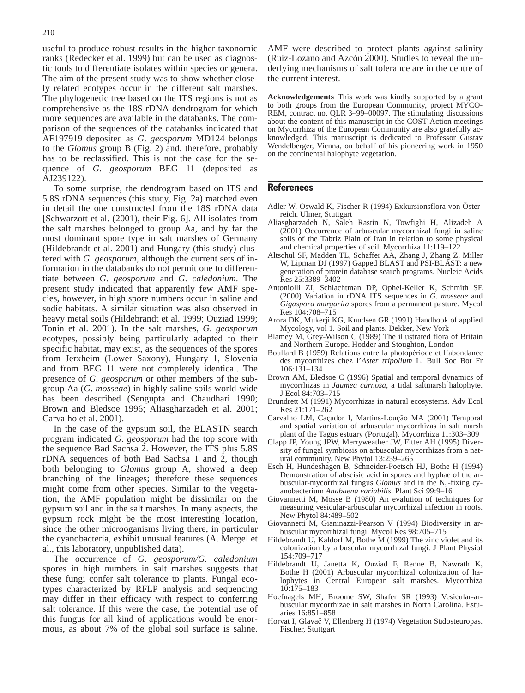useful to produce robust results in the higher taxonomic ranks (Redecker et al. 1999) but can be used as diagnostic tools to differentiate isolates within species or genera. The aim of the present study was to show whether closely related ecotypes occur in the different salt marshes. The phylogenetic tree based on the ITS regions is not as comprehensive as the 18S rDNA dendrogram for which more sequences are available in the databanks. The comparison of the sequences of the databanks indicated that AF197919 deposited as *G*. *geosporum* MD124 belongs to the *Glomus* group B (Fig. 2) and, therefore, probably has to be reclassified. This is not the case for the sequence of *G*. *geosporum* BEG 11 (deposited as AJ239122).

To some surprise, the dendrogram based on ITS and 5.8S rDNA sequences (this study, Fig. 2a) matched even in detail the one constructed from the 18S rDNA data [Schwarzott et al. (2001), their Fig. 6]. All isolates from the salt marshes belonged to group Aa, and by far the most dominant spore type in salt marshes of Germany (Hildebrandt et al. 2001) and Hungary (this study) clustered with *G*. *geosporum*, although the current sets of information in the databanks do not permit one to differentiate between *G*. *geosporum* and *G*. *caledonium*. The present study indicated that apparently few AMF species, however, in high spore numbers occur in saline and sodic habitats. A similar situation was also observed in heavy metal soils (Hildebrandt et al. 1999; Ouziad 1999; Tonin et al. 2001). In the salt marshes, *G*. *geosporum* ecotypes, possibly being particularly adapted to their specific habitat, may exist, as the sequences of the spores from Jerxheim (Lower Saxony), Hungary 1, Slovenia and from BEG 11 were not completely identical. The presence of *G*. *geosporum* or other members of the subgroup Aa (*G*. *mosseae*) in highly saline soils world-wide has been described (Sengupta and Chaudhari 1990; Brown and Bledsoe 1996; Aliasgharzadeh et al. 2001; Carvalho et al. 2001).

In the case of the gypsum soil, the BLASTN search program indicated *G*. *geosporum* had the top score with the sequence Bad Sachsa 2. However, the ITS plus 5.8S rDNA sequences of both Bad Sachsa 1 and 2, though both belonging to *Glomus* group A, showed a deep branching of the lineages; therefore these sequences might come from other species. Similar to the vegetation, the AMF population might be dissimilar on the gypsum soil and in the salt marshes. In many aspects, the gypsum rock might be the most interesting location, since the other microoganisms living there, in particular the cyanobacteria, exhibit unusual features (A. Mergel et al., this laboratory, unpublished data).

The occurrence of *G*. *geosporum/G*. *caledonium* spores in high numbers in salt marshes suggests that these fungi confer salt tolerance to plants. Fungal ecotypes characterized by RFLP analysis and sequencing may differ in their efficacy with respect to conferring salt tolerance. If this were the case, the potential use of this fungus for all kind of applications would be enormous, as about 7% of the global soil surface is saline.

AMF were described to protect plants against salinity (Ruiz-Lozano and Azcón 2000). Studies to reveal the underlying mechanisms of salt tolerance are in the centre of the current interest.

**Acknowledgements** This work was kindly supported by a grant to both groups from the European Community, project MYCO-REM, contract no. QLR 3–99–00097. The stimulating discussions about the content of this manuscript in the COST Action meetings on Mycorrhiza of the European Community are also gratefully acknowledged. This manuscript is dedicated to Professor Gustav Wendelberger, Vienna, on behalf of his pioneering work in 1950 on the continental halophyte vegetation.

### References

- Adler W, Oswald K, Fischer R (1994) Exkursionsflora von Österreich. Ulmer, Stuttgart
- Aliasgharzadeh N, Saleh Rastin N, Towfighi H, Alizadeh A (2001) Occurrence of arbuscular mycorrhizal fungi in saline soils of the Tabriz Plain of Iran in relation to some physical and chemical properties of soil. Mycorrhiza 11:119–122
- Altschul SF, Madden TL, Schaffer AA, Zhang J, Zhang Z, Miller W, Lipman DJ (1997) Gapped BLAST and PSI-BLAST: a new generation of protein database search programs. Nucleic Acids Res 25:3389–3402
- Antoniolli ZI, Schlachtman DP, Ophel-Keller K, Schmith SE (2000) Variation in rDNA ITS sequences in *G*. *mosseae* and *Gigaspora margarita* spores from a permanent pasture. Mycol Res 104:708–715
- Arora DK, Mukerji KG, Knudsen GR (1991) Handbook of applied Mycology, vol 1. Soil and plants. Dekker, New York
- Blamey M, Grey-Wilson C (1989) The illustrated flora of Britain and Northern Europe. Hodder and Stoughton, London
- Boullard B (1959) Relations entre la photopériode et l'abondance des mycorrhizes chez l'*Aster tripolium* L. Bull Soc Bot Fr 106:131–134
- Brown AM, Bledsoe C (1996) Spatial and temporal dynamics of mycorrhizas in *Jaumea carnosa*, a tidal saltmarsh halophyte. J Ecol 84:703–715
- Brundrett M (1991) Mycorrhizas in natural ecosystems. Adv Ecol Res 21:171–262
- Carvalho LM, Caçador I, Martins-Loução MA (2001) Temporal and spatial variation of arbuscular mycorrhizas in salt marsh plant of the Tagus estuary (Portugal). Mycorrhiza 11:303–309
- Clapp JP, Young JPW, Merryweather JW, Fitter AH (1995) Diversity of fungal symbiosis on arbuscular mycorrhizas from a natural community. New Phytol 13:259–265
- Esch H, Hundeshagen B, Schneider-Poetsch HJ, Bothe H (1994) Demonstration of abscisic acid in spores and hyphae of the arbuscular-mycorrhizal fungus *Glomus* and in the N<sub>2</sub>-fixing cyanobacterium *Anabaena variabilis*. Plant Sci 99:9–16
- Giovannetti M, Mosse B (1980) An evalution of techniques for measuring vesicular-arbuscular mycorrhizal infection in roots. New Phytol 84:489–502
- Giovannetti M, Gianinazzi-Pearson V (1994) Biodiversity in arbuscular mycorrhizal fungi. Mycol Res 98:705–715
- Hildebrandt U, Kaldorf M, Bothe M (1999) The zinc violet and its colonization by arbuscular mycorrhizal fungi. J Plant Physiol 154:709–717
- Hildebrandt U, Janetta K, Ouziad F, Renne B, Nawrath K, Bothe H (2001) Arbuscular mycorrhizal colonization of halophytes in Central European salt marshes. Mycorrhiza 10:175–183
- Hoefnagels MH, Broome SW, Shafer SR (1993) Vesicular-arbuscular mycorrhizae in salt marshes in North Carolina. Estuaries 16:851–858
- Horvat I, Glavač V, Ellenberg H (1974) Vegetation Südosteuropas. Fischer, Stuttgart